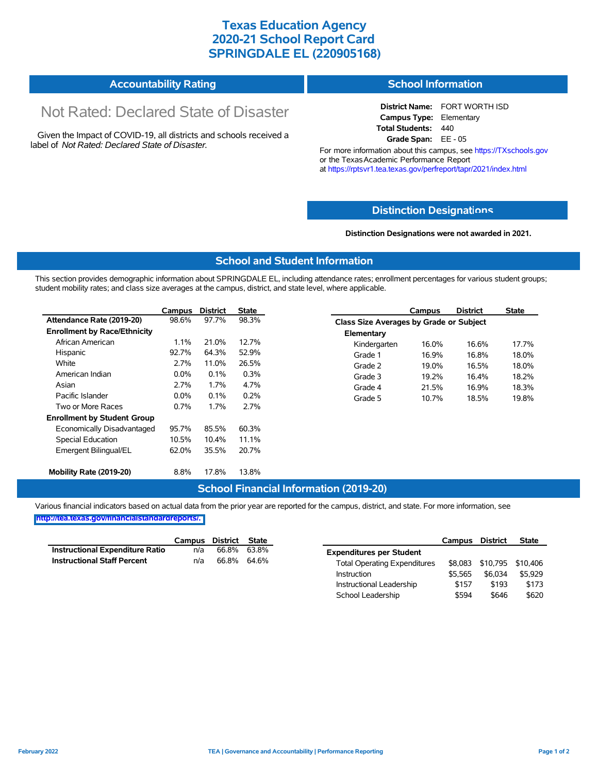# **Texas Education Agency 2020-21 School Report Card SPRINGDALE EL (220905168)**

#### **Accountability Rating School Information**

# Not Rated: Declared State of Disaster

Given the Impact of COVID-19, all districts and schools received a label of *Not Rated: Declared State of Disaster.*

**District Name:** FORT WORTH ISD **Campus Type:** Elementary **Total Students:** 440 **Grade Span:** EE - 05

For more information about this campus, see https://TXschools.gov or the Texas Academic Performance Report at https://rptsvr1.tea.texas.gov/perfreport/tapr/2021/index.html

### **Distinction Designat[ions](https://TXschools.gov)**

**Distinction Designations were not awarded in 2021.**

School Leadership  $$594$  \$646 \$620

#### **School and Student Information**

This section provides demographic information about SPRINGDALE EL, including attendance rates; enrollment percentages for various student groups; student mobility rates; and class size averages at the campus, district, and state level, where applicable.

|                                     | Campus  | <b>District</b> | <b>State</b> |              | Campus                                  | <b>District</b> | <b>State</b> |  |  |
|-------------------------------------|---------|-----------------|--------------|--------------|-----------------------------------------|-----------------|--------------|--|--|
| Attendance Rate (2019-20)           | 98.6%   | 97.7%           | 98.3%        |              | Class Size Averages by Grade or Subject |                 |              |  |  |
| <b>Enrollment by Race/Ethnicity</b> |         |                 |              | Elementary   |                                         |                 |              |  |  |
| African American                    | 1.1%    | 21.0%           | 12.7%        | Kindergarten | 16.0%                                   | 16.6%           | 17.7%        |  |  |
| Hispanic                            | 92.7%   | 64.3%           | 52.9%        | Grade 1      | 16.9%                                   | 16.8%           | 18.0%        |  |  |
| White                               | 2.7%    | 11.0%           | 26.5%        | Grade 2      | 19.0%                                   | 16.5%           | 18.0%        |  |  |
| American Indian                     | $0.0\%$ | 0.1%            | 0.3%         | Grade 3      | 19.2%                                   | 16.4%           | 18.2%        |  |  |
| Asian                               | 2.7%    | 1.7%            | 4.7%         | Grade 4      | 21.5%                                   | 16.9%           | 18.3%        |  |  |
| Pacific Islander                    | $0.0\%$ | 0.1%            | 0.2%         | Grade 5      | 10.7%                                   | 18.5%           | 19.8%        |  |  |
| Two or More Races                   | 0.7%    | 1.7%            | 2.7%         |              |                                         |                 |              |  |  |
| <b>Enrollment by Student Group</b>  |         |                 |              |              |                                         |                 |              |  |  |
| Economically Disadvantaged          | 95.7%   | 85.5%           | 60.3%        |              |                                         |                 |              |  |  |
| Special Education                   | 10.5%   | 10.4%           | 11.1%        |              |                                         |                 |              |  |  |
| Emergent Bilingual/EL               | 62.0%   | 35.5%           | 20.7%        |              |                                         |                 |              |  |  |
|                                     |         |                 |              |              |                                         |                 |              |  |  |
| Mobility Rate (2019-20)             | 8.8%    | 17.8%           | 13.8%        |              |                                         |                 |              |  |  |

### **School Financial Information (2019-20)**

Various financial indicators based on actual data from the prior year are reported for the campus, district, and state. For more information, see

**[http://tea.texas.gov/financialstandardreports/.](http://tea.texas.gov/financialstandardreports/)**

|                                        | Campus | District | <b>State</b> |                                     | Campus  | <b>District</b>           | <b>State</b> |
|----------------------------------------|--------|----------|--------------|-------------------------------------|---------|---------------------------|--------------|
| <b>Instructional Expenditure Ratio</b> | n/a    | 66.8%    | 63.8%        | <b>Expenditures per Student</b>     |         |                           |              |
| <b>Instructional Staff Percent</b>     | n/a    | 66.8%    | 64.6%        | <b>Total Operating Expenditures</b> |         | \$8,083 \$10,795 \$10,406 |              |
|                                        |        |          |              | Instruction                         | \$5.565 | \$6.034                   | \$5,929      |
|                                        |        |          |              | Instructional Leadership            | \$157   | \$193                     | \$173        |